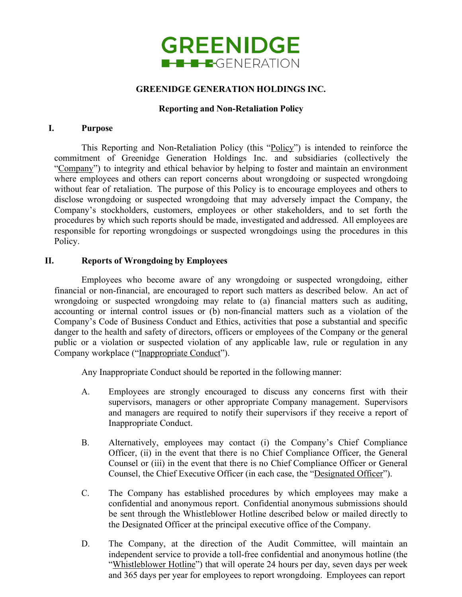

# **GREENIDGE GENERATION HOLDINGS INC.**

## **Reporting and Non-Retaliation Policy**

### **I. Purpose**

This Reporting and Non-Retaliation Policy (this "Policy") is intended to reinforce the commitment of Greenidge Generation Holdings Inc. and subsidiaries (collectively the "Company") to integrity and ethical behavior by helping to foster and maintain an environment where employees and others can report concerns about wrongdoing or suspected wrongdoing without fear of retaliation. The purpose of this Policy is to encourage employees and others to disclose wrongdoing or suspected wrongdoing that may adversely impact the Company, the Company's stockholders, customers, employees or other stakeholders, and to set forth the procedures by which such reports should be made, investigated and addressed. All employees are responsible for reporting wrongdoings or suspected wrongdoings using the procedures in this Policy.

## **II. Reports of Wrongdoing by Employees**

Employees who become aware of any wrongdoing or suspected wrongdoing, either financial or non-financial, are encouraged to report such matters as described below. An act of wrongdoing or suspected wrongdoing may relate to (a) financial matters such as auditing, accounting or internal control issues or (b) non-financial matters such as a violation of the Company's Code of Business Conduct and Ethics, activities that pose a substantial and specific danger to the health and safety of directors, officers or employees of the Company or the general public or a violation or suspected violation of any applicable law, rule or regulation in any Company workplace ("Inappropriate Conduct").

Any Inappropriate Conduct should be reported in the following manner:

- A. Employees are strongly encouraged to discuss any concerns first with their supervisors, managers or other appropriate Company management. Supervisors and managers are required to notify their supervisors if they receive a report of Inappropriate Conduct.
- B. Alternatively, employees may contact (i) the Company's Chief Compliance Officer, (ii) in the event that there is no Chief Compliance Officer, the General Counsel or (iii) in the event that there is no Chief Compliance Officer or General Counsel, the Chief Executive Officer (in each case, the "Designated Officer").
- C. The Company has established procedures by which employees may make a confidential and anonymous report. Confidential anonymous submissions should be sent through the Whistleblower Hotline described below or mailed directly to the Designated Officer at the principal executive office of the Company.
- D. The Company, at the direction of the Audit Committee, will maintain an independent service to provide a toll-free confidential and anonymous hotline (the "Whistleblower Hotline") that will operate 24 hours per day, seven days per week and 365 days per year for employees to report wrongdoing. Employees can report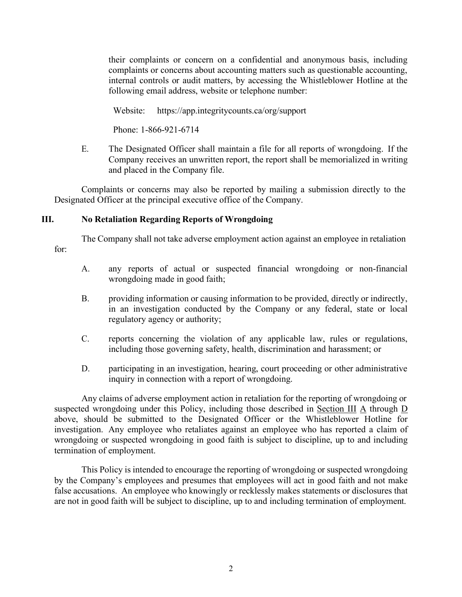their complaints or concern on a confidential and anonymous basis, including complaints or concerns about accounting matters such as questionable accounting, internal controls or audit matters, by accessing the Whistleblower Hotline at the following email address, website or telephone number:

Website: https://app.integritycounts.ca/org/support

Phone: 1-866-921-6714

E. The Designated Officer shall maintain a file for all reports of wrongdoing. If the Company receives an unwritten report, the report shall be memorialized in writing and placed in the Company file.

Complaints or concerns may also be reported by mailing a submission directly to the Designated Officer at the principal executive office of the Company.

# **III. No Retaliation Regarding Reports of Wrongdoing**

The Company shall not take adverse employment action against an employee in retaliation for:

- A. any reports of actual or suspected financial wrongdoing or non-financial wrongdoing made in good faith;
- B. providing information or causing information to be provided, directly or indirectly, in an investigation conducted by the Company or any federal, state or local regulatory agency or authority;
- C. reports concerning the violation of any applicable law, rules or regulations, including those governing safety, health, discrimination and harassment; or
- D. participating in an investigation, hearing, court proceeding or other administrative inquiry in connection with a report of wrongdoing.

Any claims of adverse employment action in retaliation for the reporting of wrongdoing or suspected wrongdoing under this Policy, including those described in Section III A through D above, should be submitted to the Designated Officer or the Whistleblower Hotline for investigation. Any employee who retaliates against an employee who has reported a claim of wrongdoing or suspected wrongdoing in good faith is subject to discipline, up to and including termination of employment.

This Policy is intended to encourage the reporting of wrongdoing or suspected wrongdoing by the Company's employees and presumes that employees will act in good faith and not make false accusations. An employee who knowingly or recklessly makes statements or disclosures that are not in good faith will be subject to discipline, up to and including termination of employment.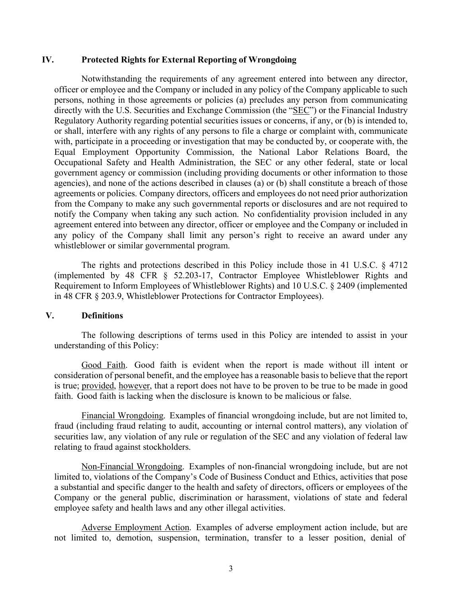### **IV. Protected Rights for External Reporting of Wrongdoing**

Notwithstanding the requirements of any agreement entered into between any director, officer or employee and the Company or included in any policy of the Company applicable to such persons, nothing in those agreements or policies (a) precludes any person from communicating directly with the U.S. Securities and Exchange Commission (the "SEC") or the Financial Industry Regulatory Authority regarding potential securities issues or concerns, if any, or (b) is intended to, or shall, interfere with any rights of any persons to file a charge or complaint with, communicate with, participate in a proceeding or investigation that may be conducted by, or cooperate with, the Equal Employment Opportunity Commission, the National Labor Relations Board, the Occupational Safety and Health Administration, the SEC or any other federal, state or local government agency or commission (including providing documents or other information to those agencies), and none of the actions described in clauses (a) or (b) shall constitute a breach of those agreements or policies. Company directors, officers and employees do not need prior authorization from the Company to make any such governmental reports or disclosures and are not required to notify the Company when taking any such action. No confidentiality provision included in any agreement entered into between any director, officer or employee and the Company or included in any policy of the Company shall limit any person's right to receive an award under any whistleblower or similar governmental program.

The rights and protections described in this Policy include those in 41 U.S.C. § 4712 (implemented by 48 CFR § 52.203-17, Contractor Employee Whistleblower Rights and Requirement to Inform Employees of Whistleblower Rights) and 10 U.S.C. § 2409 (implemented in 48 CFR § 203.9, Whistleblower Protections for Contractor Employees).

## **V. Definitions**

The following descriptions of terms used in this Policy are intended to assist in your understanding of this Policy:

Good Faith. Good faith is evident when the report is made without ill intent or consideration of personal benefit, and the employee has a reasonable basis to believe that the report is true; provided, however, that a report does not have to be proven to be true to be made in good faith. Good faith is lacking when the disclosure is known to be malicious or false.

Financial Wrongdoing. Examples of financial wrongdoing include, but are not limited to, fraud (including fraud relating to audit, accounting or internal control matters), any violation of securities law, any violation of any rule or regulation of the SEC and any violation of federal law relating to fraud against stockholders.

Non-Financial Wrongdoing. Examples of non-financial wrongdoing include, but are not limited to, violations of the Company's Code of Business Conduct and Ethics, activities that pose a substantial and specific danger to the health and safety of directors, officers or employees of the Company or the general public, discrimination or harassment, violations of state and federal employee safety and health laws and any other illegal activities.

Adverse Employment Action. Examples of adverse employment action include, but are not limited to, demotion, suspension, termination, transfer to a lesser position, denial of